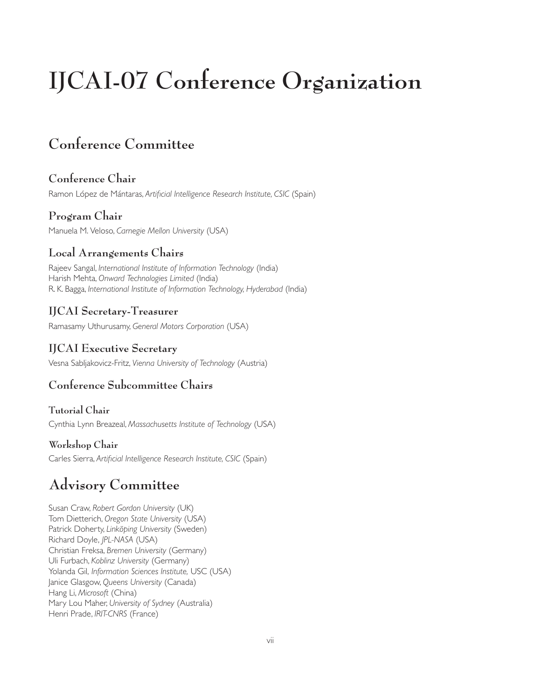# **IJCAI-07 Conference Organization**

# **Conference Committee**

## **Conference Chair**

Ramon López de Mántaras, *Artificial Intelligence Research Institute, CSIC* (Spain)

## **Program Chair**

Manuela M. Veloso, *Carnegie Mellon University* (USA)

## **Local Arrangements Chairs**

Rajeev Sangal, *International Institute of Information Technology* (India) Harish Mehta, *Onward Technologies Limited* (India) R. K. Bagga, *International Institute of Information Technology, Hyderabad* (India)

## **IJCAI Secretary-Treasurer**

Ramasamy Uthurusamy, *General Motors Corporation* (USA)

## **IJCAI Executive Secretary**

Vesna Sabljakovicz-Fritz, *Vienna University of Technology* (Austria)

## **Conference Subcommittee Chairs**

#### **Tutorial Chair**

Cynthia Lynn Breazeal, *Massachusetts Institute of Technology* (USA)

#### **Workshop Chair**

Carles Sierra, *Artificial Intelligence Research Institute, CSIC* (Spain)

# **Advisory Committee**

Susan Craw, *Robert Gordon University* (UK) Tom Dietterich, *Oregon State University* (USA) Patrick Doherty, *Linköping University* (Sweden) Richard Doyle, *JPL-NASA* (USA) Christian Freksa, *Bremen University* (Germany) Uli Furbach, *Koblinz University* (Germany) Yolanda Gil, *Information Sciences Institute,* USC (USA) Janice Glasgow, *Queens University* (Canada) Hang Li, *Microsoft* (China) Mary Lou Maher, *University of Sydney* (Australia) Henri Prade, *IRIT-CNRS* (France)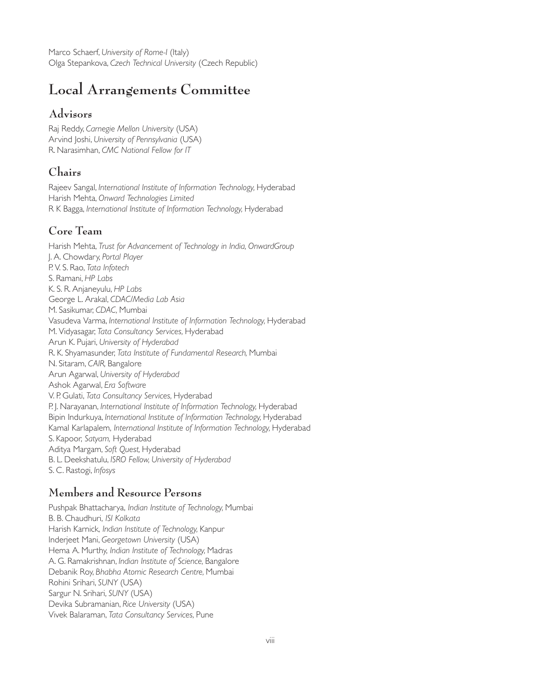Marco Schaerf, *University of Rome-I* (Italy) Olga Stepankova, *Czech Technical University* (Czech Republic)

## **Local Arrangements Committee**

#### **Advisors**

Raj Reddy, *Carnegie Mellon University* (USA) Arvind Joshi, *University of Pennsylvania* (USA) R. Narasimhan, *CMC National Fellow for IT*

#### **Chairs**

Rajeev Sangal, *International Institute of Information Technology,* Hyderabad Harish Mehta, *Onward Technologies Limited* R K Bagga, *International Institute of Information Technology,* Hyderabad

#### **Core Team**

Harish Mehta, *Trust for Advancement of Technology in India, OnwardGroup* J. A. Chowdary, *Portal Player* P. V. S. Rao, *Tata Infotech* S. Ramani, *HP Labs* K. S. R. Anjaneyulu, *HP Labs* George L. Arakal, *CDAC/Media Lab Asia* M. Sasikumar, *CDAC,* Mumbai Vasudeva Varma, *International Institute of Information Technology,* Hyderabad M. Vidyasagar, *Tata Consultancy Services,* Hyderabad Arun K. Pujari, *University of Hyderabad* R. K. Shyamasunder, *Tata Institute of Fundamental Research,* Mumbai N. Sitaram, *CAIR,* Bangalore Arun Agarwal, *University of Hyderabad* Ashok Agarwal, *Era Software* V. P. Gulati, *Tata Consultancy Services,* Hyderabad P. J. Narayanan, *International Institute of Information Technology,* Hyderabad Bipin Indurkuya, *International Institute of Information Technology,* Hyderabad Kamal Karlapalem, *International Institute of Information Technology,* Hyderabad S. Kapoor, *Satyam,* Hyderabad Aditya Margam, *Soft Quest,* Hyderabad B. L. Deekshatulu, *ISRO Fellow, University of Hyderabad* S. C. Rastogi, *Infosys*

## **Members and Resource Persons**

Pushpak Bhattacharya, *Indian Institute of Technology,* Mumbai B. B. Chaudhuri, *ISI Kolkata* Harish Karnick, *Indian Institute of Technology,* Kanpur Inderjeet Mani, *Georgetown University* (USA) Hema A. Murthy, *Indian Institute of Technology,* Madras A. G. Ramakrishnan, *Indian Institute of Science,* Bangalore Debanik Roy, *Bhabha Atomic Research Centre,* Mumbai Rohini Srihari, *SUNY* (USA) Sargur N. Srihari, *SUNY* (USA) Devika Subramanian, *Rice University* (USA) Vivek Balaraman, *Tata Consultancy Services,* Pune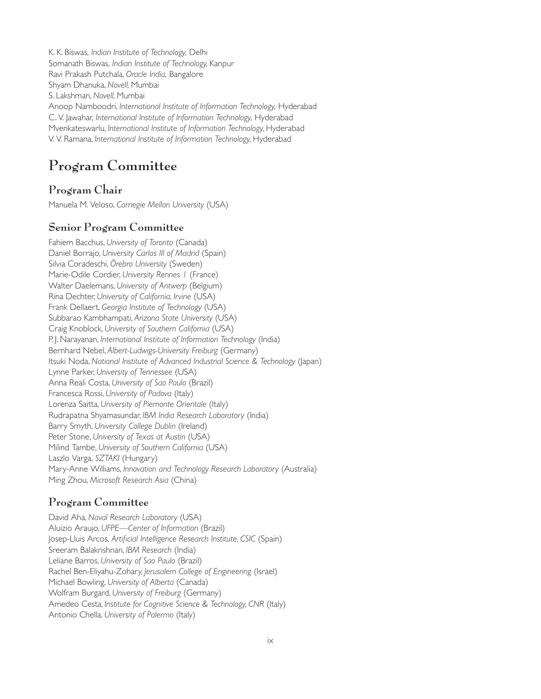K. K. Biswas, *Indian Institute of Technology,* Delhi Somanath Biswas, *Indian Institute of Technology,* Kanpur Ravi Prakash Putchala, *Oracle India,* Bangalore Shyam Dhanuka, *Novell,* Mumbai S. Lakshman, *Novell,* Mumbai Anoop Namboodri, *International Institute of Information Technology,* Hyderabad C. V. Jawahar, *International Institute of Information Technology,* Hyderabad Mvenkateswarlu, *International Institute of Information Technology,* Hyderabad V. V. Ramana, *International Institute of Information Technology,* Hyderabad

# **Program Committee**

## **Program Chair**

Manuela M. Veloso, *Carnegie Mellon University* (USA)

#### **Senior Program Committee**

Fahiem Bacchus, *University of Toronto* (Canada) Daniel Borrajo, *University Carlos III of Madrid* (Spain) Silvia Coradeschi, *Örebro University* (Sweden) Marie-Odile Cordier, *University Rennes 1* (France) Walter Daelemans, *University of Antwerp* (Belgium) Rina Dechter, *University of California, Irvine* (USA) Frank Dellaert, *Georgia Institute of Technology* (USA) Subbarao Kambhampati, *Arizona State University* (USA) Craig Knoblock, *University of Southern California* (USA) P. J. Narayanan, *International Institute of Information Technology* (India) Bernhard Nebel, *Albert-Ludwigs-University Freiburg* (Germany) Itsuki Noda, *National Institute of Advanced Industrial Science & Technology* (Japan) Lynne Parker, *University of Tennessee* (USA) Anna Reali Costa, *University of Sao Paulo* (Brazil) Francesca Rossi, *University of Padova* (Italy) Lorenza Saitta, *University of Piemonte Orientale* (Italy) Rudrapatna Shyamasundar, *IBM India Research Laboratory* (India) Barry Smyth, *University College Dublin* (Ireland) Peter Stone, *University of Texas at Austin* (USA) Milind Tambe, *University of Southern California* (USA) Laszlo Varga, *SZTAKI* (Hungary) Mary-Anne Williams, *Innovation and Technology Research Laboratory* (Australia) Ming Zhou, *Microsoft Research Asia* (China)

### **Program Committee**

David Aha, *Naval Research Laboratory* (USA) Aluizio Araujo, *UFPE—Center of Information* (Brazil) Josep-Lluis Arcos, *Artificial Intelligence Research Institute, CSIC* (Spain) Sreeram Balakrishnan, *IBM Research* (India) Leliane Barros, *University of Sao Paulo* (Brazil) Rachel Ben-Eliyahu-Zohary, *Jerusalem College of Engineering* (Israel) Michael Bowling, *University of Alberta* (Canada) Wolfram Burgard, *University of Freiburg* (Germany) Amedeo Cesta, *Institute for Cognitive Science & Technology, CNR* (Italy) Antonio Chella, *University of Palermo* (Italy)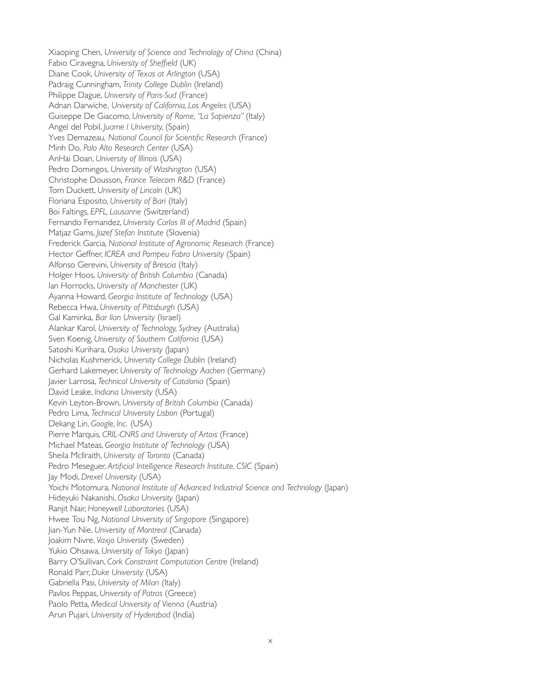Xiaoping Chen, *University of Science and Technology of China* (China) Fabio Ciravegna, *University of Sheffield* (UK) Diane Cook, *University of Texas at Arlington* (USA) Padraig Cunningham, *Trinity College Dublin* (Ireland) Philippe Dague, *University of Paris-Sud* (France) Adnan Darwiche, *University of California, Los Angeles* (USA) Guiseppe De Giacomo, *University of Rome, "La Sapienza"* (Italy) Angel del Pobil, *Juame I University,* (Spain) Yves Demazeau, *National Council for Scientific Research* (France) Minh Do, *Palo Alto Research Center* (USA) AnHai Doan, *University of Illinois* (USA) Pedro Domingos, *University of Washington* (USA) Christophe Dousson, *France Telecom R&D* (France) Tom Duckett, *University of Lincoln* (UK) Floriana Esposito, *University of Bari* (Italy) Boi Faltings, *EPFL, Lausanne* (Switzerland) Fernando Fernandez, *University Carlos III of Madrid* (Spain) Matjaz Gams, *Jozef Stefan Institute* (Slovenia) Frederick Garcia, *National Institute of Agronomic Research* (France) Hector Geffner, *ICREA and Pompeu Fabra University* (Spain) Alfonso Gerevini, *University of Brescia* (Italy) Holger Hoos, *University of British Columbia* (Canada) Ian Horrocks, *University of Manchester* (UK) Ayanna Howard, *Georgia Institute of Technology* (USA) Rebecca Hwa, *University of Pittsburgh* (USA) Gal Kaminka, *Bar Ilan University* (Israel) Alankar Karol, *University of Technology, Sydney* (Australia) Sven Koenig, *University of Southern California* (USA) Satoshi Kurihara, *Osaka University (*Japan) Nicholas Kushmerick, *University College Dublin* (Ireland) Gerhard Lakemeyer, *University of Technology Aachen* (Germany) Javier Larrosa, *Technical University of Catalonia* (Spain) David Leake, *Indiana University* (USA) Kevin Leyton-Brown, *University of British Columbia* (Canada) Pedro Lima, *Technical University Lisbon* (Portugal) Dekang Lin, *Google, Inc.* (USA) Pierre Marquis, *CRIL-CNRS and University of Artois* (France) Michael Mateas, *Georgia Institute of Technology* (USA) Sheila McIlraith, *University of Toronto* (Canada) Pedro Meseguer, *Artificial Intelligence Research Institute, CSIC* (Spain) Jay Modi, *Drexel University* (USA) Yoichi Motomura, *National Institute of Advanced Industrial Science and Technology* (Japan) Hideyuki Nakanishi, *Osaka University* (Japan) Ranjit Nair, *Honeywell Laboratories* (USA) Hwee Tou Ng, *National University of Singapore* (Singapore) Jian-Yun Nie, *University of Montreal* (Canada) Joakim Nivre, *Vaxjo University* (Sweden) Yukio Ohsawa, *University of Tokyo* (Japan) Barry O'Sullivan, *Cork Constraint Computation Centre* (Ireland) Ronald Parr, *Duke University* (USA) Gabriella Pasi, *University of Milan* (Italy) Pavlos Peppas, *University of Patras* (Greece) Paolo Petta, *Medical University of Vienna* (Austria) Arun Pujari, *University of Hyderabad* (India)